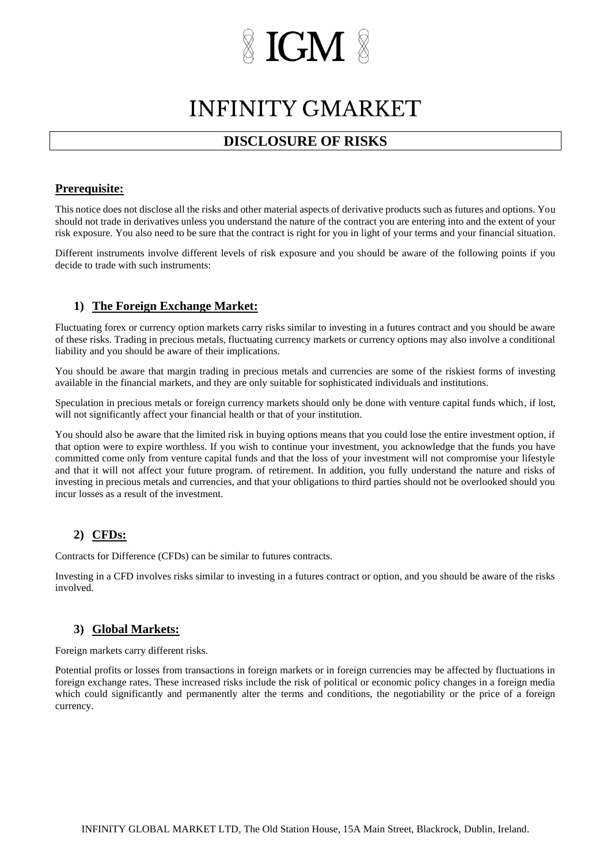# **IGM**

### **INFINITY GMARKET**

### **DISCLOSURE OF RISKS**

### **Prerequisite:**

This notice does not disclose all the risks and other material aspects of derivative products such as futures and options. You should not trade in derivatives unless you understand the nature of the contract you are entering into and the extent of your risk exposure. You also need to be sure that the contract is right for you in light of your terms and your financial situation.

Different instruments involve different levels of risk exposure and you should be aware of the following points if you decide to trade with such instruments:

### **1) The Foreign Exchange Market:**

Fluctuating forex or currency option markets carry risks similar to investing in a futures contract and you should be aware of these risks. Trading in precious metals, fluctuating currency markets or currency options may also involve a conditional liability and you should be aware of their implications.

You should be aware that margin trading in precious metals and currencies are some of the riskiest forms of investing available in the financial markets, and they are only suitable for sophisticated individuals and institutions.

Speculation in precious metals or foreign currency markets should only be done with venture capital funds which, if lost, will not significantly affect your financial health or that of your institution.

You should also be aware that the limited risk in buying options means that you could lose the entire investment option, if that option were to expire worthless. If you wish to continue your investment, you acknowledge that the funds you have committed come only from venture capital funds and that the loss of your investment will not compromise your lifestyle and that it will not affect your future program. of retirement. In addition, you fully understand the nature and risks of investing in precious metals and currencies, and that your obligations to third parties should not be overlooked should you incur losses as a result of the investment.

### **2) CFDs:**

Contracts for Difference (CFDs) can be similar to futures contracts.

Investing in a CFD involves risks similar to investing in a futures contract or option, and you should be aware of the risks involved.

### **3) Global Markets:**

Foreign markets carry different risks.

Potential profits or losses from transactions in foreign markets or in foreign currencies may be affected by fluctuations in foreign exchange rates. These increased risks include the risk of political or economic policy changes in a foreign media which could significantly and permanently alter the terms and conditions, the negotiability or the price of a foreign currency.